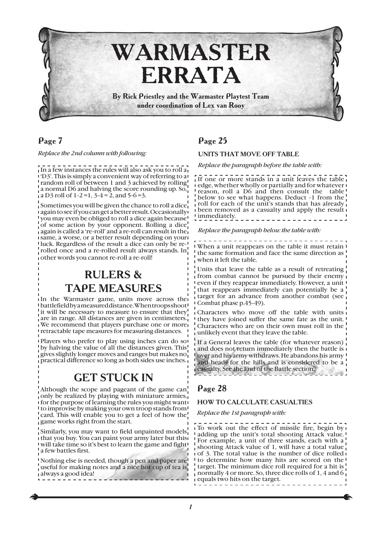

*Replace the 2nd column with following:*

In a few instances the rules will also ask you to roll a 'D3'. This is simply a convenient way of referring to a random roll of between 1 and 3 achieved by rolling  $\frac{1}{4}$ a normal D6 and halving the score rounding up. So,  $\mu$  a D3 roll of 1-2=1, 3-4 = 2, and 5-6=3.

Sometimes you will be given the chance to roll a dice again to see if you can get a better result. Occasionally you may even be obliged to roll a dice again because of some action by your opponent. Rolling a dice again is called a 're-roll' and a re-roll can result in the same, a worse, or a better result depending on your luck. Regardless of the result a dice can only be rerolled once and a re-rolled result always stands. In other words you cannot re-roll a re-roll!

# RULERS & TAPE MEASURES

In the Warmaster game, units move across the battlefield by a measured distance. When troops shoot it will be necessary to measure to ensure that they are in range. All distances are given in centimeters. We recommend that players purchase one or more retractable tape measures for measuring distances.

Players who prefer to play using inches can do so by halving the value of all the distances given. This gives slightly longer moves and ranges but makes no practical difference so long as both sides use inches.

# GET STUCK IN

Although the scope and pageant of the game can only be realized by playing with miniature armies, for the purpose of learning the rules you might want to improvise by making your own troop stands from card. This will enable you to get a feel of how the game works right from the start.

Similarly, you may want to field unpainted models that you buy. You can paint your army later but this will take time so it's best to learn the game and fight a few battles first.

Nothing else is needed, though a pen and paper are useful for making notes and a nice hot cup of tea is always a good idea!

# Page 25

#### UNITS THAT MOVE OFF TABLE

*Replace the paragraph before the table with:*

If one or more stands in a unit leaves the table edge, whether wholly or partially and for whatever reason, roll a D6 and then consult the table below to see what happens. Deduct -1 from the roll for each of the unit's stands that has already been removed as a casualty and apply the result immediately. \_ \_ \_ \_ \_ \_ \_ \_ \_ \_ \_ \_ \_ \_ \_

*Replace the paragraph below the table with:*

When a unit reappears on the table it must retain the same formation and face the same direction as when it left the table.

Units that leave the table as a result of retreating from combat cannot be pursued by their enemy even if they reappear immediately. However, a unit that reappears immediately can potentially be a target for an advance from another combat (see Combat phase p.45-49).

Characters who move off the table with units they have joined suffer the same fate as the unit. Characters who are on their own must roll in the unlikely event that they leave the table.

If a General leaves the table (for whatever reason) and does not return immediately then the battle is over and his army withdraws. He abandons his army and heads for the hills and is considered to be a casualty. See the End of the Battle section.

## Page 28

#### HOW TO CALCULATE CASUALTIES

*Replace the 1st paragraph with:*

To work out the effect of missile fire, begin by adding up the unit's total shooting Attack value. For example, a unit of three stands, each with a shooting Attack value of 1, will have a total value of 3. The total value is the number of dice rolled to determine how many hits are scored on the target. The minimum dice roll required for a hit is normally 4 or more. So, three dice rolls of 1, 4 and 6 equals two hits on the target.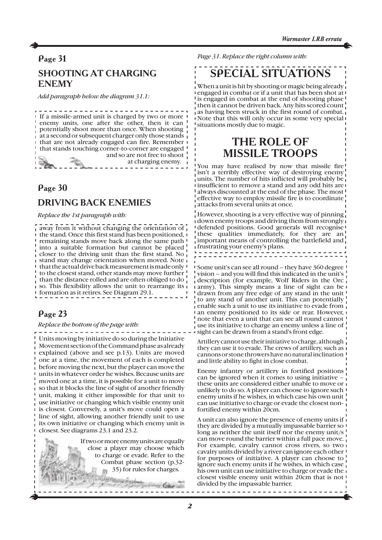# Page 31 SHOOTING AT CHARGING ENEMY

*Add paragraph below the diagram 31.1:*

If a missile-armed unit is charged by two or more I enemy units, one after the other, then it can potentially shoot more than once. When shooting at a second or subsequent charger only those stands that are not already engaged can fire. Remember that stands touching corner-to-corner are engaged and so are not free to shoot at charging enemy.

## Page 30

## DRIVING BACK ENEMIES

*Replace the 1st paragraph with:*

 $\frac{1}{4}$  away from it without changing the orientation of  $\frac{1}{4}$ the stand. Once this first stand has been positioned, remaining stands move back along the same path into a suitable formation but cannot be placed closer to the driving unit than the first stand. No stand may change orientation when moved. Note that the actual drive back measurement is made only to the closest stand, other stands may move further than the distance rolled and are often obliged to do so. This flexibility allows the unit to rearrange its formation as it retires. See Diagram 29.1.

# Page 23

*Replace the bottom of the page with:*

Units moving by initiative do so during the Initiative Movement section of the Command phase as already explained (above and see p.13). Units are moved one at a time, the movement of each is completed before moving the next, but the player can move the units in whatever order he wishes. Because units are moved one at a time, it is possible for a unit to move so that it blocks the line of sight of another friendly unit, making it either impossible for that unit to use initiative or changing which visible enemy unit is closest. Conversely, a unit's move could open a line of sight, allowing another friendly unit to use its own initiative or changing which enemy unit is closest. See diagrams 23.1 and 23.2.



*Page 31. Replace the right column with:*

# SPECIAL SITUATIONS

When a unit is hit by shooting or magic being already engaged in combat or if a unit that has been shot at <sup>1</sup> is engaged in combat at the end of shooting phase then it cannot be driven back. Any hits scored count as having been struck in the first round of combat. Note that this will only occur in some very special situations mostly due to magic.

# THE ROLE OF MISSILE TROOPS

You may have realised by now that missile fire isn't a terribly effective way of destroying enemy units. The number of hits inflicted will probably be insufficient to remove a stand and any odd hits are always discounted at the end of the phase. The most effective way to employ missile fire is to coordinate attacks from several units at once.

However, shooting is a very effective way of pinning down enemy troops and driving them from strongly defended positions. Good generals will recognise these qualities immediately, for they are an important means of controlling the battlefield and frustrating your enemy's plans.

Some unit's can see all round – they have 360 degree vision – and you will find this indicated in the unit's description (for example, Wolf Riders in the Orc army). This simply means a line of sight can be drawn from any free edge of any stand in the unit to any stand of another unit. This can potentially enable such a unit to use its initiative to evade from an enemy positioned to its side or rear. However, note that even a unit that can see all round cannot use its initiative to charge an enemy unless a line of sight can be drawn from a stand's front edge.

Artillery cannot use their initiative to charge, although they can use it to evade. The crews of artillery, such as cannons or stone throwers have no natural inclination and little ability to fight in close combat.

Enemy infantry or artillery in fortified positions can be ignored when it comes to using initiative – these units are considered either unable to move or unlikely to do so. A player can choose to ignore such enemy units if he wishes, in which case his own unit can use initiative to charge or evade the closest nonfortified enemy within 20cm.

A unit can also ignore the presence of enemy units if they are divided by a mutually impassable barrier so long as neither the unit itself nor the enemy unit/s can move round the barrier within a full pace move. For example, cavalry cannot cross rivers, so two cavalry units divided by a river can ignore each other for purposes of initiative. A player can choose to ignore such enemy units if he wishes, in which case his own unit can use initiative to charge or evade the closest visible enemy unit within 20cm that is not divided by the impassable barrier.

\_\_\_\_\_\_\_\_\_\_\_\_\_\_\_\_\_\_\_\_\_\_\_\_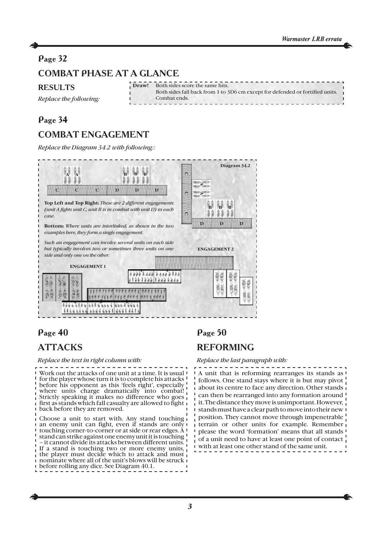# Page 32 COMBAT PHASE AT A GLANCE

#### RESULTS

*Replace the following:*

| <b>Draw!</b> Both sides score the same hits.                                  |
|-------------------------------------------------------------------------------|
| Both sides fall back from 1 to 3D6 cm except for defended or fortified units. |
| Combat ends.                                                                  |
|                                                                               |

### Page 34

# COMBAT ENGAGEMENT

*Replace the Diagram 34.2 with following::*



# Page 40

# **ATTACKS**

#### *Replace the text in right column with:*

Work out the attacks of one unit at a time. It is usual for the player whose turn it is to complete his attacks before his opponent as this 'feels right', especially where units charge dramatically into combat! Strictly speaking it makes no difference who goes first as stands which fall casualty are allowed to fight back before they are removed.

Choose a unit to start with. Any stand touching an enemy unit can fight, even if stands are only touching corner-to-corner or at side or rear edges. A stand can strike against one enemy unit it is touching – it cannot divide its attacks between different units. If a stand is touching two or more enemy units, the player must decide which to attack and must nominate where all of the unit's blows will be struck before rolling any dice. See Diagram 40.1.

## Page 50

# REFORMING

#### *Replace the last paragraph with:*

A unit that is reforming rearranges its stands as follows. One stand stays where it is but may pivot about its centre to face any direction. Other stands can then be rearranged into any formation around it. The distance they move is unimportant. However, stands must have a clear path to move into their new position. They cannot move through impenetrable terrain or other units for example. Remember please the word 'formation' means that all stands of a unit need to have at least one point of contact with at least one other stand of the same unit.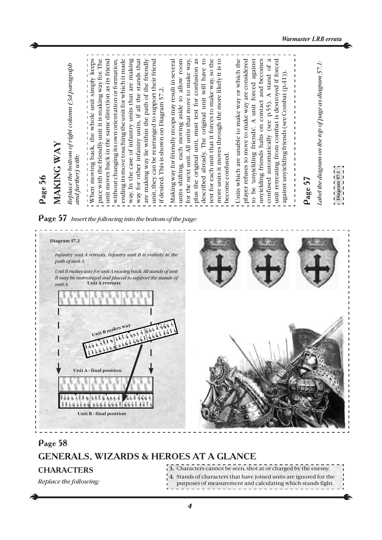#### *Warmaster LRB errata*

| Page 56                                                                                                                                                                                                                                                                                                                                                                                                                                                                                                                                                                                                                                                                                                                                                                                                                                                                                                                                                                  |
|--------------------------------------------------------------------------------------------------------------------------------------------------------------------------------------------------------------------------------------------------------------------------------------------------------------------------------------------------------------------------------------------------------------------------------------------------------------------------------------------------------------------------------------------------------------------------------------------------------------------------------------------------------------------------------------------------------------------------------------------------------------------------------------------------------------------------------------------------------------------------------------------------------------------------------------------------------------------------|
| MAKING WAY                                                                                                                                                                                                                                                                                                                                                                                                                                                                                                                                                                                                                                                                                                                                                                                                                                                                                                                                                               |
| Replace the bottom of right column (3d paragraph<br>and further) with:                                                                                                                                                                                                                                                                                                                                                                                                                                                                                                                                                                                                                                                                                                                                                                                                                                                                                                   |
| pace with the friendly unit it is making way for. The<br>unit moves back in the same direction as its friend<br>without changing its own orientation or formation,<br>ending its move touching the unit for which it made<br>way. In the case of infantry units that are making<br>way for other infantry units, if all the stands that<br>are making way lie within the path of the friendly<br>for the next unit. All units that move to make way,<br>plus the original unit, must test for confusion as<br>unit, they can be rearranged to support their friend<br>described already. The original unit will have to<br>test for each unit that it forces to make way, so the<br>more units it moves through the more likely it is to<br>Units which are unable to make way or which the<br>units shifting, each moving aside to allow room<br>Making way for friendly troops may result in several<br>if desired. This is shown on Diagram 57.2.<br>become confused. |
| player refuses to move to make way are considered<br>to be 'unyielding friends'. A unit forced against<br>unyielding friends halts on contact and becomes<br>unit retreating from combat is destroyed if forced<br>confused automatically (see p.55). A stand of a<br>against unyielding friends (see Combat (p.41))                                                                                                                                                                                                                                                                                                                                                                                                                                                                                                                                                                                                                                                     |
| Label the diagram on the top of page as diagram 57.1:<br>Page 57                                                                                                                                                                                                                                                                                                                                                                                                                                                                                                                                                                                                                                                                                                                                                                                                                                                                                                         |

#### Page 57 *Insert the following into the bottom of the page:*



### Page 58

# GENERALS, WIZARDS & HEROES AT A GLANCE

### **CHARACTERS**

*Replace the following:*

**3.** Сharacters cannot be seen, shot at or charged by the enemy.

- **4.** Stands of characters that have joined units are ignored for the
- purposes of measurement and calculating which stands fight.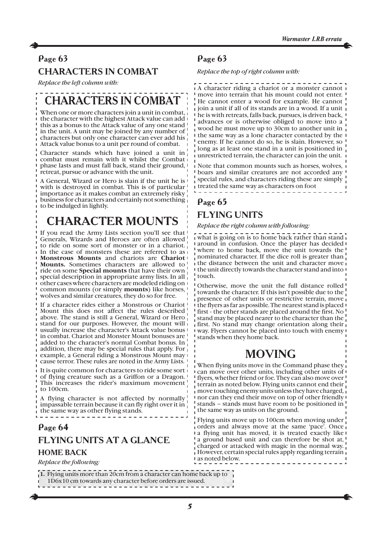### CHARACTERS IN COMBAT

*Replace the left column with:*

# CHARACTERS IN COMBAT

When one or more characters join a unit in combat, the character with the highest Attack value can add this as a bonus to the Attack value of any one stand in the unit. A unit may be joined by any number of characters but only one character can ever add his Attack value bonus to a unit per round of combat.

Character stands which have joined a unit in combat must remain with it whilst the Combat phase lasts and must fall back, stand their ground, retreat, pursue or advance with the unit.

A General, Wizard or Hero is slain if the unit he is with is destroyed in combat. This is of particular importance as it makes combat an extremely risky business for characters and certainly not something to be indulged in lightly.

# CHARACTER MOUNTS

If you read the Army Lists section you'll see that Generals, Wizards and Heroes are often allowed to ride on some sort of monster or in a chariot. In the case of monsters these are referred to as **Monstrous Mounts** and chariots are **Chariot Mounts.** Sometimes characters are allowed to ride on some **Special mounts** that have their own special description in appropriate army lists. In all other cases where characters are modeled riding on common mounts (or simply **mounts**) like horses, wolves and similar creatures, they do so for free.

If a character rides either a Monstrous or Chariot Mount this does not affect the rules described above. The stand is still a General, Wizard or Hero stand for our purposes. However, the mount will usually increase the character's Attack value bonus in combat. Chariot and Monster Mount bonuses are added to the character's normal Combat bonus. In addition, there may be special rules that apply. For example, a General riding a Monstrous Mount may cause terror. These rules are noted in the Army Lists.

It is quite common for characters to ride some sort of flying creature such as a Griffon or a Dragon. This increases the rider's maximum movement! to 100cm.

A flying character is not affected by normally impassable terrain because it can fly right over it in the same way as other flying stands.

#### Page 64

# FLYING UNITS AT A GLANCE

### HOME BACK

*Replace the following:*

**1.** Flying units more than 20cm from a character can home back up to 1D6x10 cm towards any character before orders are issued.

### Page 63

*Replace the top of right column with:*

A character riding a chariot or a monster cannot move into terrain that his mount could not enter. He cannot enter a wood for example. He cannot join a unit if all of its stands are in a wood. If a unit he is with retreats, falls back, pursues, is driven back, advances or is otherwise obliged to move into a wood he must move up to 30cm to another unit in the same way as a lone character contacted by the enemy. If he cannot do so, he is slain. However, so long as at least one stand in a unit is positioned in unrestricted terrain, the character can join the unit.

Note that common mounts such as horses, wolves, boars and similar creatures are not accorded any special rules, and characters riding these are simply treated the same way as characters on foot

# Page 65 FLYING UNITS

*Replace the right column with following:*

what is going on is to home back rather than stand around in confusion. Once the player has decided where to home back, move the unit towards the nominated character. If the dice roll is greater than the distance between the unit and character move the unit directly towards the character stand and into touch.

Otherwise, move the unit the full distance rolled towards the character. If this isn't possible due to the presence of other units or restrictive terrain, move the flyers as far as possible. The nearest stand is placed first - the other stands are placed around the first. No stand may be placed nearer to the character than the first. No stand may change orientation along their way. Flyers cannot be placed into touch with enemy stands when they home back.

# MOVING

When flying units move in the Command phase they can move over other units, including other units of flyers, whether friend or foe. They can also move over terrain as noted below. Flying units cannot end their move touching enemy units unless they have charged, nor can they end their move on top of other friendly stands – stands must have room to be positioned in the same way as units on the ground.

Flying units move up to 100cm when moving under orders and always move at the same 'pace'. Once a flying unit has moved, it is treated exactly like a ground based unit and can therefore be shot at, charged or attacked with magic in the normal way. However, certain special rules apply regarding terrain as noted below.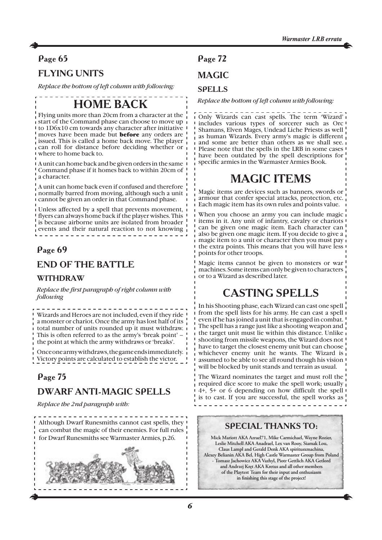# FLYING UNITS

*Replace the bottom of left column with following:*

# HOME BACK

Flying units more than 20cm from a character at the start of the Command phase can choose to move up to 1D6x10 cm towards any character after initiative moves have been made but **before** any orders are issued. This is called a home back move. The player can roll for distance before deciding whether or where to home back to.

A unit can home back and be given orders in the same Command phase if it homes back to within 20cm of a character.

A unit can home back even if confused and therefore normally barred from moving, although such a unit cannot be given an order in that Command phase.

Unless affected by a spell that prevents movement, flyers can always home back if the player wishes. This is because airborne units are isolated from broader events and their natural reaction to not knowing

## Page 69

### END OF THE BATTLE

### WITHDRAW

*Replace the first paragraph of right column with following*

Wizards and Heroes are not included, even if they ride a monster or chariot. Once the army has lost half of its total number of units rounded up it must withdraw. This is often referred to as the army's 'break point' – the point at which the army withdraws or 'breaks'.

Once one army withdraws, the game ends immediately. Victory points are calculated to establish the victor.

## Page 75

## DWARF ANTI-MAGIC SPELLS

*Replace the 2nd paragraph with:*

Although Dwarf Runesmiths cannot cast spells, they can combat the magic of their enemies. For full rules for Dwarf Runesmiths see Warmaster Armies, p.26.



# Page 72

# **MAGIC**

### **SPELLS**

*Replace the bottom of left column with following:*

Only Wizards can cast spells. The term 'Wizard' includes various types of sorcerer such as Orc Shamans, Elven Mages, Undead Liche Priests as well as human Wizards. Every army's magic is different and some are better than others as we shall see. Please note that the spells in the LRB in some cases have been outdated by the spell descriptions for specific armies in the Warmaster Armies Book.

# MAGIC ITEMS

Magic items are devices such as banners, swords or armour that confer special attacks, protection, etc. Each magic item has its own rules and points value.

When you choose an army you can include magic items in it. Any unit of infantry, cavalry or chariots can be given one magic item. Each character can also be given one magic item. If you decide to give a magic item to a unit or character then you must pay the extra points. This means that you will have less points for other troops.

Magic items cannot be given to monsters or war machines. Some items can only be given to characters or to a Wizard as described later.

# CASTING SPELLS

In his Shooting phase, each Wizard can cast one spell from the spell lists for his army. He can cast a spell even if he has joined a unit that is engaged in combat. The spell has a range just like a shooting weapon and the target unit must lie within this distance. Unlike shooting from missile weapons, the Wizard does not have to target the closest enemy unit but can choose whichever enemy unit he wants. The Wizard is assumed to be able to see all round though his vision will be blocked by unit stands and terrain as usual.

The Wizard nominates the target and must roll the required dice score to make the spell work; usually 4+, 5+ or 6 depending on how difficult the spell is to cast. If you are successful, the spell works as 

### SPECIAL THANKS TO:

**Mick Mariott AKA Azrael71, Mike Carmichael, Wayne Rozier, Leslie Mitchell AKA Anadrael, Lex van Rooy, Siamak Lou, Claus Lampl and Gerald Denk AKA spiritusxmachina, Alexey Belianin AKA Bel, High Castle Warmaster Group from Poland - Tomasz Jachowicz AKA Vazhyl, Piotr Gettlich AKA Getlord and Andrzej Kręt AKA Kretus and all other members of the Playtest Team for their input and enthusiasm in finishing this stage of the project!**